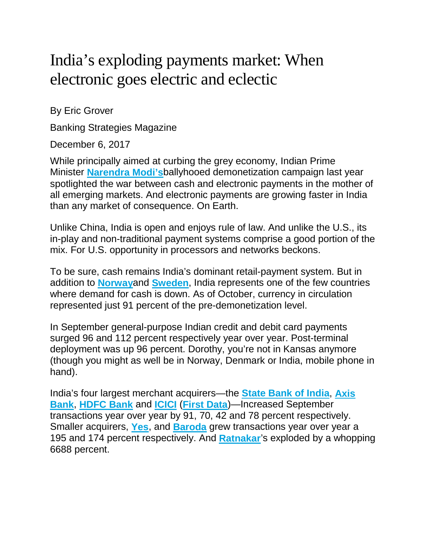# India's exploding payments market: When electronic goes electric and eclectic

By Eric Grover

Banking Strategies Magazine

December 6, 2017

While principally aimed at curbing the grey economy, Indian Prime Minister **[Narendra Modi's](https://www.narendramodi.in/)**ballyhooed demonetization campaign last year spotlighted the war between cash and electronic payments in the mother of all emerging markets. And electronic payments are growing faster in India than any market of consequence. On Earth.

Unlike China, India is open and enjoys rule of law. And unlike the U.S., its in-play and non-traditional payment systems comprise a good portion of the mix. For U.S. opportunity in processors and networks beckons.

To be sure, cash remains India's dominant retail-payment system. But in addition to **[Norway](https://www.sofn.com/member_benefits/e-post_archive/2016_epost/norway_is_becoming_a_cashless_society/)**and **[Sweden](http://www.bbc.com/news/business-41095004)**, India represents one of the few countries where demand for cash is down. As of October, currency in circulation represented just 91 percent of the pre-demonetization level.

In September general-purpose Indian credit and debit card payments surged 96 and 112 percent respectively year over year. Post-terminal deployment was up 96 percent. Dorothy, you're not in Kansas anymore (though you might as well be in Norway, Denmark or India, mobile phone in hand).

India's four largest merchant acquirers—the **[State Bank of India](https://www.sbi.co.in/)**, **[Axis](https://www.axisbank.com/)  [Bank](https://www.axisbank.com/)**, **[HDFC Bank](https://www.hdfcbank.com/)** and **[ICICI](https://www.icicibank.com/)** (**[First Data](https://www.firstdata.com/en_in/home.html)**)—Increased September transactions year over year by 91, 70, 42 and 78 percent respectively. Smaller acquirers, **[Yes](https://www.yesbank.in/)**, and **[Baroda](https://www.bankofbaroda.com/)** grew transactions year over year a 195 and 174 percent respectively. And **[Ratnakar](https://www.rblbank.com/)**'s exploded by a whopping 6688 percent.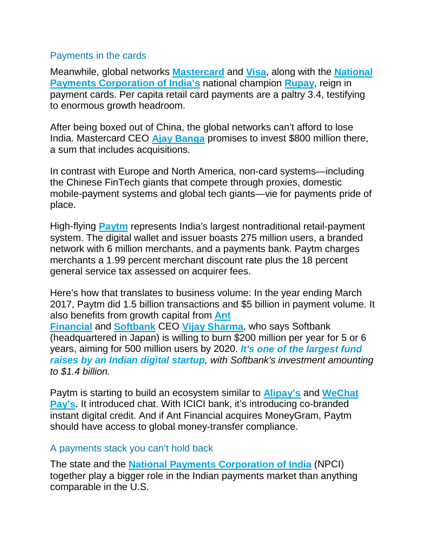### Payments in the cards

Meanwhile, global networks **[Mastercard](https://www.mastercard.us/en-us/about-mastercard.html)** and **[Visa](https://usa.visa.com/about-visa.html)**, along with the **[National](https://www.npci.org.in/)  [Payments Corporation of India's](https://www.npci.org.in/)** national champion **[Rupay](https://rupay.co.in/)**, reign in payment cards. Per capita retail card payments are a paltry 3.4, testifying to enormous growth headroom.

After being boxed out of China, the global networks can't afford to lose India. Mastercard CEO **[Ajay Banga](https://newsroom.mastercard.com/people/abanga/)** promises to invest \$800 million there, a sum that includes acquisitions.

In contrast with Europe and North America, non-card systems—including the Chinese FinTech giants that compete through proxies, domestic mobile-payment systems and global tech giants—vie for payments pride of place.

High-flying **[Paytm](https://paytm.com/about-us/)** represents India's largest nontraditional retail-payment system. The digital wallet and issuer boasts 275 million users, a branded network with 6 million merchants, and a payments bank. Paytm charges merchants a 1.99 percent merchant discount rate plus the 18 percent general service tax assessed on acquirer fees.

Here's how that translates to business volume: In the year ending March 2017, Paytm did 1.5 billion transactions and \$5 billion in payment volume. It also benefits from growth capital from **[Ant](https://www.antfin.com/introduction.htm)  [Financial](https://www.antfin.com/introduction.htm)** and **[Softbank](https://www.softbank.jp/en/)** CEO **[Vijay Sharma](https://www.linkedin.com/in/vijayshekhar/)**, who says Softbank (headquartered in Japan) is willing to burn \$200 million per year for 5 or 6 years, aiming for 500 million users by 2020. *[It's one of the largest fund](https://timesofindia.indiatimes.com/companies/paytm-gets-1-4-billion-from-softbank-valuing-it-at-7-billion-post-investment/articleshow/58733292.cms)  [raises by an Indian digital startup](https://timesofindia.indiatimes.com/companies/paytm-gets-1-4-billion-from-softbank-valuing-it-at-7-billion-post-investment/articleshow/58733292.cms), with Softbank's investment amounting to \$1.4 billion.*

Paytm is starting to build an ecosystem similar to **[Alipay's](https://intl.alipay.com/ihome/index.htm)** and **[WeChat](https://pay.weixin.qq.com/index.php/public/wechatpay)  [Pay's](https://pay.weixin.qq.com/index.php/public/wechatpay)**. It introduced chat. With ICICI bank, it's introducing co-branded instant digital credit. And if Ant Financial acquires MoneyGram, Paytm should have access to global money-transfer compliance.

## A payments stack you can't hold back

The state and the **[National Payments Corporation of India](https://npci.org.in/)** (NPCI) together play a bigger role in the Indian payments market than anything comparable in the U.S.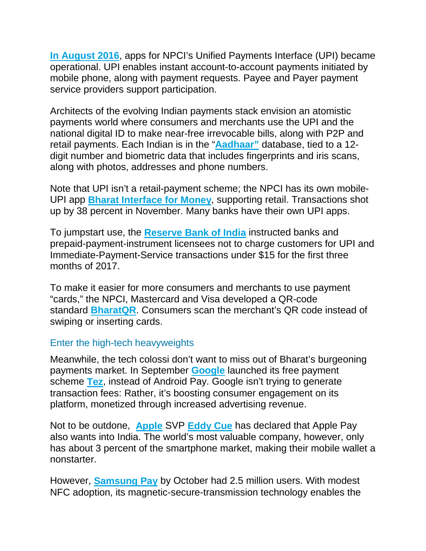**[In August 2016](http://www.thehindu.com/business/Economy/What-is-Unified-Payment-Interface/article14593189.ece)**, apps for NPCI's Unified Payments Interface (UPI) became operational. UPI enables instant account-to-account payments initiated by mobile phone, along with payment requests. Payee and Payer payment service providers support participation.

Architects of the evolving Indian payments stack envision an atomistic payments world where consumers and merchants use the UPI and the national digital ID to make near-free irrevocable bills, along with P2P and retail payments. Each Indian is in the "**[Aadhaar"](https://uidai.gov.in/)** database, tied to a 12 digit number and biometric data that includes fingerprints and iris scans, along with photos, addresses and phone numbers.

Note that UPI isn't a retail-payment scheme; the NPCI has its own mobile-UPI app **[Bharat Interface for Money](https://economictimes.indiatimes.com/small-biz/startups/newsbuzz/upi-clocks-105-million-transactions-in-november-the-highest-ever/articleshow/61878670.cms)**, supporting retail. Transactions shot up by 38 percent in November. Many banks have their own UPI apps.

To jumpstart use, the **[Reserve Bank of India](https://www.rbi.org.in/)** instructed banks and prepaid-payment-instrument licensees not to charge customers for UPI and Immediate-Payment-Service transactions under \$15 for the first three months of 2017.

To make it easier for more consumers and merchants to use payment "cards," the NPCI, Mastercard and Visa developed a QR-code standard **[BharatQR](http://www.bharatqrcode.in/)**. Consumers scan the merchant's QR code instead of swiping or inserting cards.

## Enter the high-tech heavyweights

Meanwhile, the tech colossi don't want to miss out of Bharat's burgeoning payments market. In September **[Google](https://abc.xyz/)** launched its free payment scheme **[Tez](https://tez.google.com/)**, instead of Android Pay. Google isn't trying to generate transaction fees: Rather, it's boosting consumer engagement on its platform, monetized through increased advertising revenue.

Not to be outdone, **[Apple](https://www.apple.com/)** SVP **[Eddy Cue](https://www.apple.com/leadership/eddy-cue/)** has declared that Apple Pay also wants into India. The world's most valuable company, however, only has about 3 percent of the smartphone market, making their mobile wallet a nonstarter.

However, **[Samsung Pay](https://www.samsung.com/us/samsung-pay/)** by October had 2.5 million users. With modest NFC adoption, its magnetic-secure-transmission technology enables the